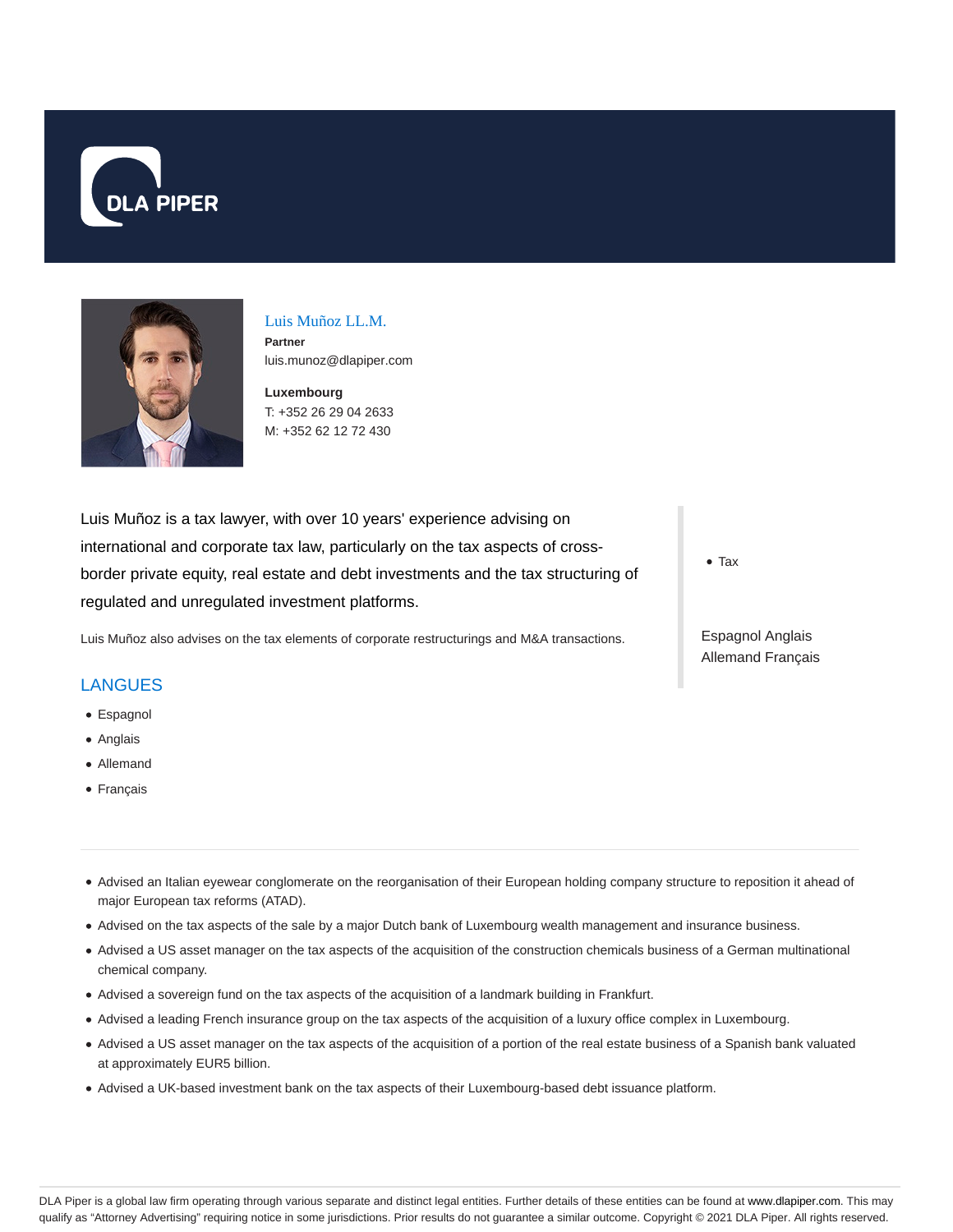



#### Luis Muñoz LL.M. **Partner** luis.munoz@dlapiper.com

**Luxembourg** T: +352 26 29 04 2633 M: +352 62 12 72 430

Luis Muñoz is a tax lawyer, with over 10 years' experience advising on international and corporate tax law, particularly on the tax aspects of crossborder private equity, real estate and debt investments and the tax structuring of regulated and unregulated investment platforms.

Luis Muñoz also advises on the tax elements of corporate restructurings and M&A transactions.

## LANGUES

- Espagnol
- Anglais
- Allemand
- Français

Advised an Italian eyewear conglomerate on the reorganisation of their European holding company structure to reposition it ahead of major European tax reforms (ATAD).

- Advised on the tax aspects of the sale by a major Dutch bank of Luxembourg wealth management and insurance business.
- Advised a US asset manager on the tax aspects of the acquisition of the construction chemicals business of a German multinational chemical company.
- Advised a sovereign fund on the tax aspects of the acquisition of a landmark building in Frankfurt.
- Advised a leading French insurance group on the tax aspects of the acquisition of a luxury office complex in Luxembourg.
- Advised a US asset manager on the tax aspects of the acquisition of a portion of the real estate business of a Spanish bank valuated at approximately EUR5 billion.
- Advised a UK-based investment bank on the tax aspects of their Luxembourg-based debt issuance platform.

Tax

Espagnol Anglais Allemand Français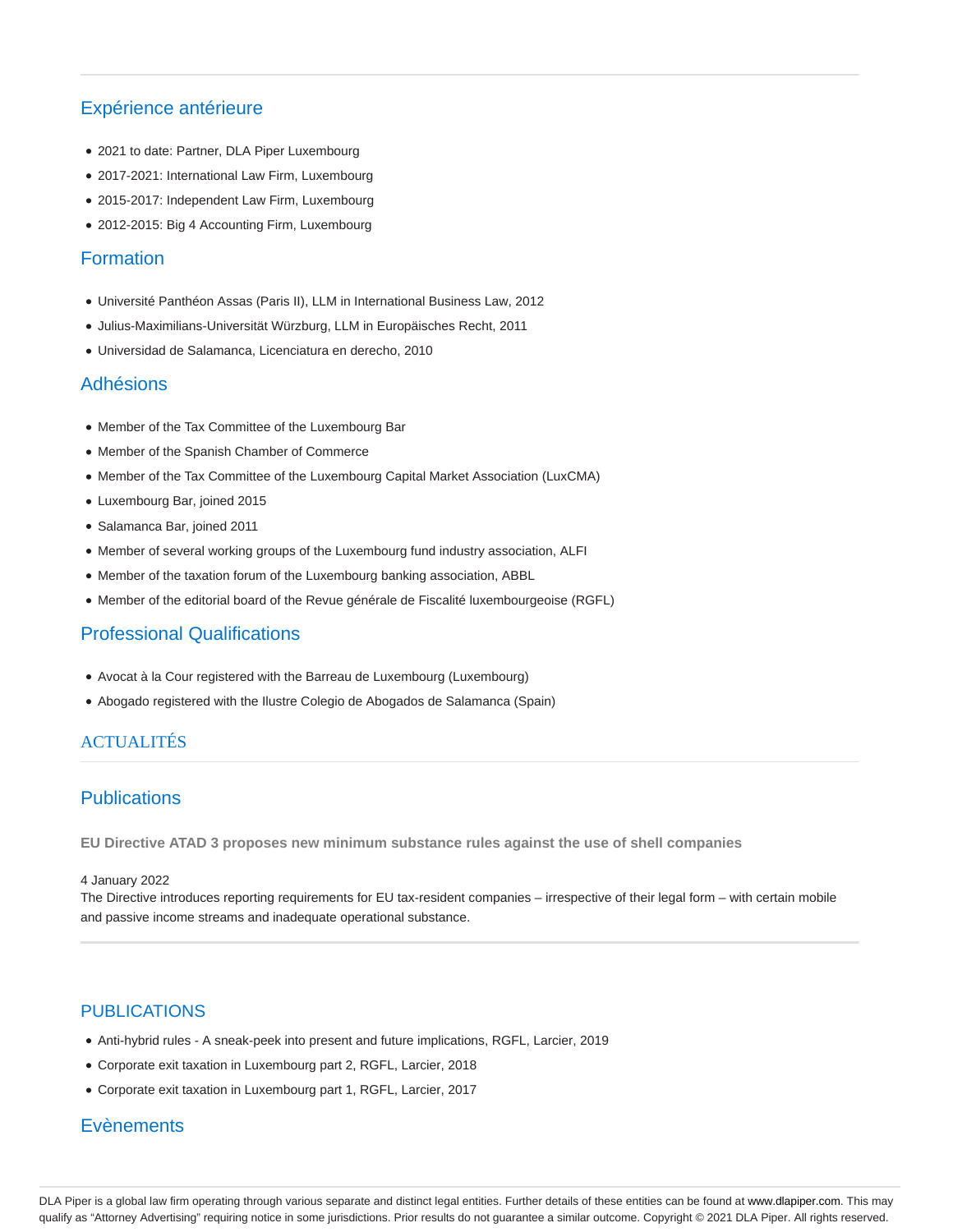# Expérience antérieure

- 2021 to date: Partner, DLA Piper Luxembourg
- 2017-2021: International Law Firm, Luxembourg
- 2015-2017: Independent Law Firm, Luxembourg
- 2012-2015: Big 4 Accounting Firm, Luxembourg

## Formation

- Université Panthéon Assas (Paris II), LLM in International Business Law, 2012
- Julius-Maximilians-Universität Würzburg, LLM in Europäisches Recht, 2011
- Universidad de Salamanca, Licenciatura en derecho, 2010

## Adhésions

- Member of the Tax Committee of the Luxembourg Bar
- Member of the Spanish Chamber of Commerce
- Member of the Tax Committee of the Luxembourg Capital Market Association (LuxCMA)
- Luxembourg Bar, joined 2015
- Salamanca Bar, joined 2011
- Member of several working groups of the Luxembourg fund industry association, ALFI
- Member of the taxation forum of the Luxembourg banking association, ABBL
- Member of the editorial board of the Revue générale de Fiscalité luxembourgeoise (RGFL)

## Professional Qualifications

- Avocat à la Cour registered with the Barreau de Luxembourg (Luxembourg)
- Abogado registered with the Ilustre Colegio de Abogados de Salamanca (Spain)

## ACTUALITÉS

## Publications

**EU Directive ATAD 3 proposes new minimum substance rules against the use of shell companies**

#### 4 January 2022

The Directive introduces reporting requirements for EU tax-resident companies – irrespective of their legal form – with certain mobile and passive income streams and inadequate operational substance.

## PUBLICATIONS

- Anti-hybrid rules A sneak-peek into present and future implications, RGFL, Larcier, 2019
- Corporate exit taxation in Luxembourg part 2, RGFL, Larcier, 2018
- Corporate exit taxation in Luxembourg part 1, RGFL, Larcier, 2017

## **Evènements**

DLA Piper is a global law firm operating through various separate and distinct legal entities. Further details of these entities can be found at www.dlapiper.com. This may qualify as "Attorney Advertising" requiring notice in some jurisdictions. Prior results do not guarantee a similar outcome. Copyright © 2021 DLA Piper. All rights reserved.